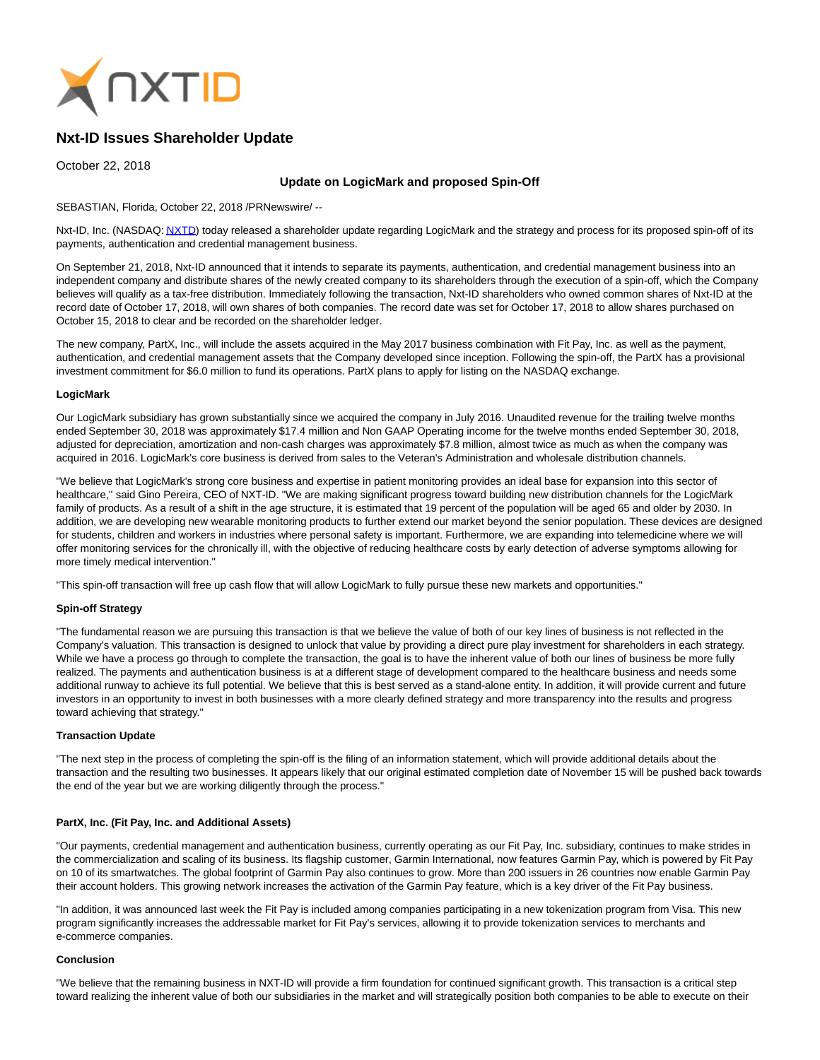

# **Nxt-ID Issues Shareholder Update**

October 22, 2018

## **Update on LogicMark and proposed Spin-Off**

## SEBASTIAN, Florida, October 22, 2018 /PRNewswire/ --

Nxt-ID, Inc. (NASDAQ[: NXTD\)](http://investors.nxt-id.com/) today released a shareholder update regarding LogicMark and the strategy and process for its proposed spin-off of its payments, authentication and credential management business.

On September 21, 2018, Nxt-ID announced that it intends to separate its payments, authentication, and credential management business into an independent company and distribute shares of the newly created company to its shareholders through the execution of a spin-off, which the Company believes will qualify as a tax-free distribution. Immediately following the transaction, Nxt-ID shareholders who owned common shares of Nxt-ID at the record date of October 17, 2018, will own shares of both companies. The record date was set for October 17, 2018 to allow shares purchased on October 15, 2018 to clear and be recorded on the shareholder ledger.

The new company, PartX, Inc., will include the assets acquired in the May 2017 business combination with Fit Pay, Inc. as well as the payment, authentication, and credential management assets that the Company developed since inception. Following the spin-off, the PartX has a provisional investment commitment for \$6.0 million to fund its operations. PartX plans to apply for listing on the NASDAQ exchange.

## **LogicMark**

Our LogicMark subsidiary has grown substantially since we acquired the company in July 2016. Unaudited revenue for the trailing twelve months ended September 30, 2018 was approximately \$17.4 million and Non GAAP Operating income for the twelve months ended September 30, 2018, adjusted for depreciation, amortization and non-cash charges was approximately \$7.8 million, almost twice as much as when the company was acquired in 2016. LogicMark's core business is derived from sales to the Veteran's Administration and wholesale distribution channels.

"We believe that LogicMark's strong core business and expertise in patient monitoring provides an ideal base for expansion into this sector of healthcare," said Gino Pereira, CEO of NXT-ID. "We are making significant progress toward building new distribution channels for the LogicMark family of products. As a result of a shift in the age structure, it is estimated that 19 percent of the population will be aged 65 and older by 2030. In addition, we are developing new wearable monitoring products to further extend our market beyond the senior population. These devices are designed for students, children and workers in industries where personal safety is important. Furthermore, we are expanding into telemedicine where we will offer monitoring services for the chronically ill, with the objective of reducing healthcare costs by early detection of adverse symptoms allowing for more timely medical intervention."

"This spin-off transaction will free up cash flow that will allow LogicMark to fully pursue these new markets and opportunities."

## **Spin-off Strategy**

"The fundamental reason we are pursuing this transaction is that we believe the value of both of our key lines of business is not reflected in the Company's valuation. This transaction is designed to unlock that value by providing a direct pure play investment for shareholders in each strategy. While we have a process go through to complete the transaction, the goal is to have the inherent value of both our lines of business be more fully realized. The payments and authentication business is at a different stage of development compared to the healthcare business and needs some additional runway to achieve its full potential. We believe that this is best served as a stand-alone entity. In addition, it will provide current and future investors in an opportunity to invest in both businesses with a more clearly defined strategy and more transparency into the results and progress toward achieving that strategy."

## **Transaction Update**

"The next step in the process of completing the spin-off is the filing of an information statement, which will provide additional details about the transaction and the resulting two businesses. It appears likely that our original estimated completion date of November 15 will be pushed back towards the end of the year but we are working diligently through the process."

#### **PartX, Inc. (Fit Pay, Inc. and Additional Assets)**

"Our payments, credential management and authentication business, currently operating as our Fit Pay, Inc. subsidiary, continues to make strides in the commercialization and scaling of its business. Its flagship customer, Garmin International, now features Garmin Pay, which is powered by Fit Pay on 10 of its smartwatches. The global footprint of Garmin Pay also continues to grow. More than 200 issuers in 26 countries now enable Garmin Pay their account holders. This growing network increases the activation of the Garmin Pay feature, which is a key driver of the Fit Pay business.

"In addition, it was announced last week the Fit Pay is included among companies participating in a new tokenization program from Visa. This new program significantly increases the addressable market for Fit Pay's services, allowing it to provide tokenization services to merchants and e-commerce companies.

#### **Conclusion**

"We believe that the remaining business in NXT-ID will provide a firm foundation for continued significant growth. This transaction is a critical step toward realizing the inherent value of both our subsidiaries in the market and will strategically position both companies to be able to execute on their